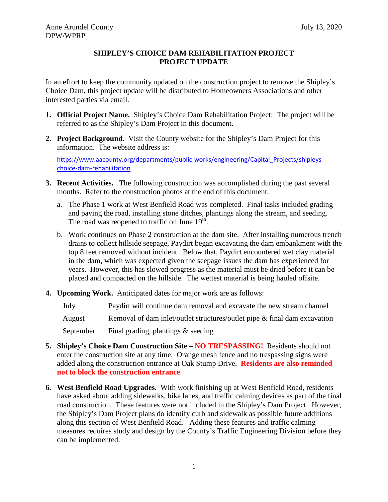# **SHIPLEY'S CHOICE DAM REHABILITATION PROJECT PROJECT UPDATE**

In an effort to keep the community updated on the construction project to remove the Shipley's Choice Dam, this project update will be distributed to Homeowners Associations and other interested parties via email.

- **1. Official Project Name.** Shipley's Choice Dam Rehabilitation Project: The project will be referred to as the Shipley's Dam Project in this document.
- **2. Project Background.** Visit the County website for the Shipley's Dam Project for this information. The website address is:

[https://www.aacounty.org/departments/public-works/engineering/Capital\\_Projects/shipleys](https://www.aacounty.org/departments/public-works/engineering/Capital_Projects/shipleys-choice-dam-rehabilitation)[choice-dam-rehabilitation](https://www.aacounty.org/departments/public-works/engineering/Capital_Projects/shipleys-choice-dam-rehabilitation)

- **3. Recent Activities.** The following construction was accomplished during the past several months. Refer to the construction photos at the end of this document.
	- a. The Phase 1 work at West Benfield Road was completed. Final tasks included grading and paving the road, installing stone ditches, plantings along the stream, and seeding. The road was reopened to traffic on June  $19<sup>th</sup>$ .
	- b. Work continues on Phase 2 construction at the dam site. After installing numerous trench drains to collect hillside seepage, Paydirt began excavating the dam embankment with the top 8 feet removed without incident. Below that, Paydirt encountered wet clay material in the dam, which was expected given the seepage issues the dam has experienced for years. However, this has slowed progress as the material must be dried before it can be placed and compacted on the hillside. The wettest material is being hauled offsite.
- **4. Upcoming Work.** Anticipated dates for major work are as follows:

July Paydirt will continue dam removal and excavate the new stream channel

August Removal of dam inlet/outlet structures/outlet pipe & final dam excavation

September Final grading, plantings & seeding

- **5. Shipley's Choice Dam Construction Site – NO TRESPASSING!** Residents should not enter the construction site at any time. Orange mesh fence and no trespassing signs were added along the construction entrance at Oak Stump Drive. **Residents are also reminded not to block the construction entrance**.
- **6. West Benfield Road Upgrades.** With work finishing up at West Benfield Road, residents have asked about adding sidewalks, bike lanes, and traffic calming devices as part of the final road construction. These features were not included in the Shipley's Dam Project. However, the Shipley's Dam Project plans do identify curb and sidewalk as possible future additions along this section of West Benfield Road. Adding these features and traffic calming measures requires study and design by the County's Traffic Engineering Division before they can be implemented.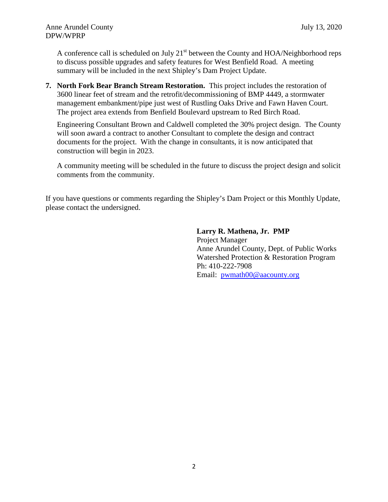A conference call is scheduled on July  $21<sup>st</sup>$  between the County and HOA/Neighborhood reps to discuss possible upgrades and safety features for West Benfield Road. A meeting summary will be included in the next Shipley's Dam Project Update.

**7. North Fork Bear Branch Stream Restoration.** This project includes the restoration of 3600 linear feet of stream and the retrofit/decommissioning of BMP 4449, a stormwater management embankment/pipe just west of Rustling Oaks Drive and Fawn Haven Court. The project area extends from Benfield Boulevard upstream to Red Birch Road.

Engineering Consultant Brown and Caldwell completed the 30% project design. The County will soon award a contract to another Consultant to complete the design and contract documents for the project. With the change in consultants, it is now anticipated that construction will begin in 2023.

A community meeting will be scheduled in the future to discuss the project design and solicit comments from the community.

If you have questions or comments regarding the Shipley's Dam Project or this Monthly Update, please contact the undersigned.

# **Larry R. Mathena, Jr. PMP**

Project Manager Anne Arundel County, Dept. of Public Works Watershed Protection & Restoration Program Ph: 410-222-7908 Email: [pwmath00@aacounty.org](mailto:pwmath00@aacounty.org)